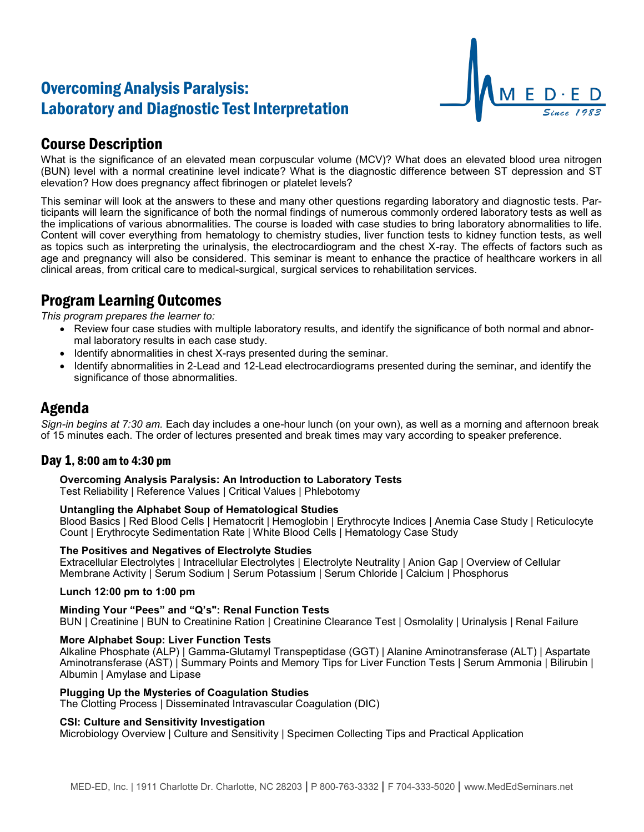# Overcoming Analysis Paralysis: Laboratory and Diagnostic Test Interpretation



# Course Description

What is the significance of an elevated mean corpuscular volume (MCV)? What does an elevated blood urea nitrogen (BUN) level with a normal creatinine level indicate? What is the diagnostic difference between ST depression and ST elevation? How does pregnancy affect fibrinogen or platelet levels?

This seminar will look at the answers to these and many other questions regarding laboratory and diagnostic tests. Participants will learn the significance of both the normal findings of numerous commonly ordered laboratory tests as well as the implications of various abnormalities. The course is loaded with case studies to bring laboratory abnormalities to life. Content will cover everything from hematology to chemistry studies, liver function tests to kidney function tests, as well as topics such as interpreting the urinalysis, the electrocardiogram and the chest X-ray. The effects of factors such as age and pregnancy will also be considered. This seminar is meant to enhance the practice of healthcare workers in all clinical areas, from critical care to medical-surgical, surgical services to rehabilitation services.

# Program Learning Outcomes

*This program prepares the learner to:*

- Review four case studies with multiple laboratory results, and identify the significance of both normal and abnormal laboratory results in each case study.
- Identify abnormalities in chest X-rays presented during the seminar.
- Identify abnormalities in 2-Lead and 12-Lead electrocardiograms presented during the seminar, and identify the significance of those abnormalities.

## Agenda

*Sign-in begins at 7:30 am.* Each day includes a one-hour lunch (on your own), as well as a morning and afternoon break of 15 minutes each. The order of lectures presented and break times may vary according to speaker preference.

## Day 1, 8:00 am to 4:30 pm

**Overcoming Analysis Paralysis: An Introduction to Laboratory Tests**

Test Reliability | Reference Values | Critical Values | Phlebotomy

## **Untangling the Alphabet Soup of Hematological Studies**

Blood Basics | Red Blood Cells | Hematocrit | Hemoglobin | Erythrocyte Indices | Anemia Case Study | Reticulocyte Count | Erythrocyte Sedimentation Rate | White Blood Cells | Hematology Case Study

## **The Positives and Negatives of Electrolyte Studies**

Extracellular Electrolytes | Intracellular Electrolytes | Electrolyte Neutrality | Anion Gap | Overview of Cellular Membrane Activity | Serum Sodium | Serum Potassium | Serum Chloride | Calcium | Phosphorus

## **Lunch 12:00 pm to 1:00 pm**

## **Minding Your "Pees" and "Q's": Renal Function Tests**

BUN | Creatinine | BUN to Creatinine Ration | Creatinine Clearance Test | Osmolality | Urinalysis | Renal Failure

### **More Alphabet Soup: Liver Function Tests**

Alkaline Phosphate (ALP) | Gamma-Glutamyl Transpeptidase (GGT) | Alanine Aminotransferase (ALT) | Aspartate Aminotransferase (AST) | Summary Points and Memory Tips for Liver Function Tests | Serum Ammonia | Bilirubin | Albumin | Amylase and Lipase

### **Plugging Up the Mysteries of Coagulation Studies**

The Clotting Process | Disseminated Intravascular Coagulation (DIC)

## **CSI: Culture and Sensitivity Investigation**

Microbiology Overview | Culture and Sensitivity | Specimen Collecting Tips and Practical Application